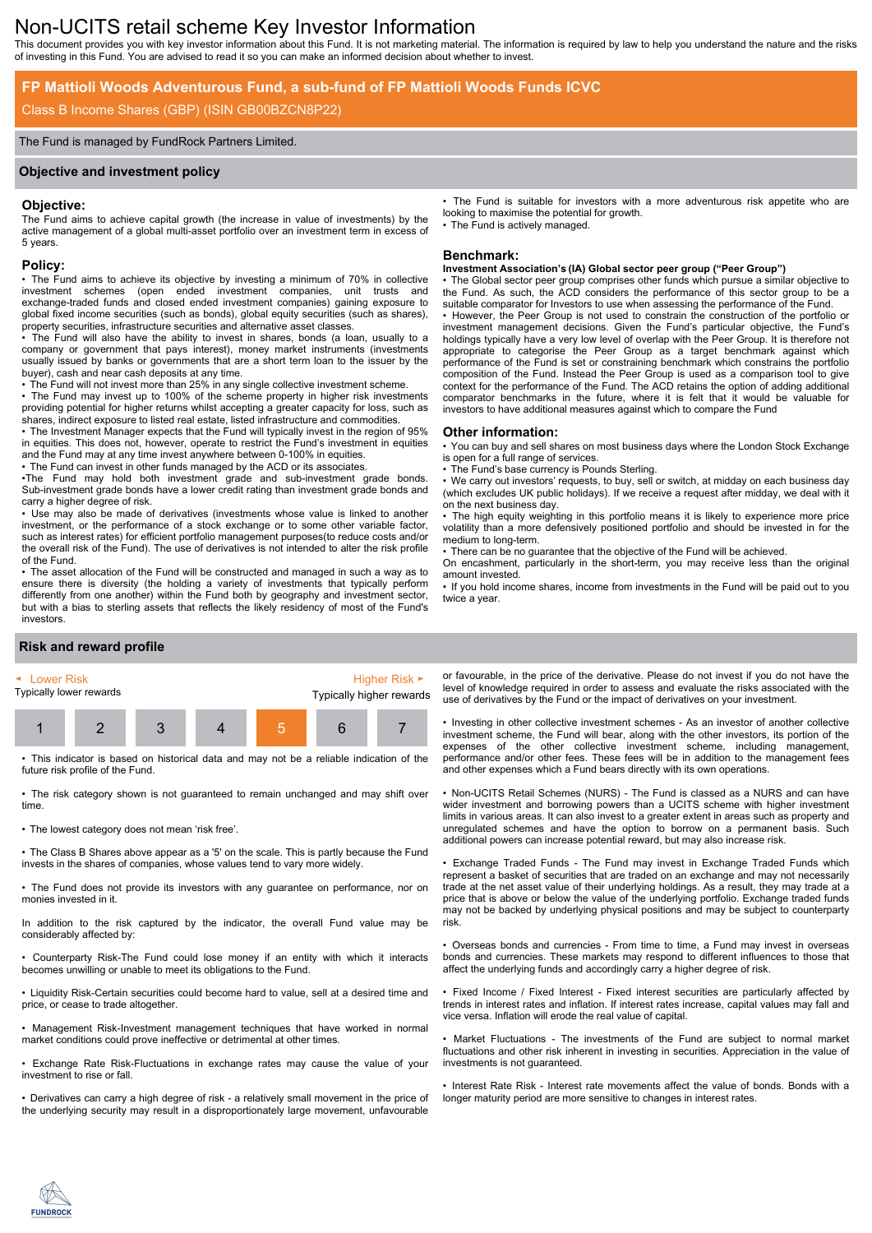# Non-UCITS retail scheme Key Investor Information

This document provides you with key investor information about this Fund. It is not marketing material. The information is required by law to help you understand the nature and the risks of investing in this Fund. You are advised to read it so you can make an informed decision about whether to invest.

## **FP Mattioli Woods Adventurous Fund, a sub-fund of FP Mattioli Woods Funds ICVC**

## Class B Income Shares (GBP) (ISIN GB00BZCN8P22)

#### The Fund is managed by FundRock Partners Limited.

#### **Objective and investment policy**

#### **Objective:**

The Fund aims to achieve capital growth (the increase in value of investments) by the active management of a global multi-asset portfolio over an investment term in excess of 5 years.

#### **Policy:**

• The Fund aims to achieve its objective by investing a minimum of 70% in collective investment schemes (open ended investment companies, unit trusts and exchange-traded funds and closed ended investment companies) gaining exposure to global fixed income securities (such as bonds), global equity securities (such as shares), property securities, infrastructure securities and alternative asset classes.

• The Fund will also have the ability to invest in shares, bonds (a loan, usually to a company or government that pays interest), money market instruments (investments usually issued by banks or governments that are a short term loan to the issuer by the buyer), cash and near cash deposits at any time.

• The Fund will not invest more than 25% in any single collective investment scheme.

• The Fund may invest up to 100% of the scheme property in higher risk investments providing potential for higher returns whilst accepting a greater capacity for loss, such as shares, indirect exposure to listed real estate, listed infrastructure and commodities.

• The Investment Manager expects that the Fund will typically invest in the region of 95% in equities. This does not, however, operate to restrict the Fund's investment in equities and the Fund may at any time invest anywhere between 0-100% in equities.

• The Fund can invest in other funds managed by the ACD or its associates.

•The Fund may hold both investment grade and sub-investment grade bonds. Sub-investment grade bonds have a lower credit rating than investment grade bonds and carry a higher degree of risk.

• Use may also be made of derivatives (investments whose value is linked to another investment, or the performance of a stock exchange or to some other variable factor, such as interest rates) for efficient portfolio management purposes(to reduce costs and/or the overall risk of the Fund). The use of derivatives is not intended to alter the risk profile of the Fund.

• The asset allocation of the Fund will be constructed and managed in such a way as to ensure there is diversity (the holding a variety of investments that typically perform differently from one another) within the Fund both by geography and investment sector, but with a bias to sterling assets that reflects the likely residency of most of the Fund's investors.

## **Risk and reward profile**



• This indicator is based on historical data and may not be a reliable indication of the future risk profile of the Fund.

• The risk category shown is not guaranteed to remain unchanged and may shift over time.

• The lowest category does not mean 'risk free'.

• The Class B Shares above appear as a '5' on the scale. This is partly because the Fund invests in the shares of companies, whose values tend to vary more widely.

• The Fund does not provide its investors with any guarantee on performance, nor on monies invested in it.

In addition to the risk captured by the indicator, the overall Fund value may be considerably affected by:

• Counterparty Risk-The Fund could lose money if an entity with which it interacts becomes unwilling or unable to meet its obligations to the Fund.

• Liquidity Risk-Certain securities could become hard to value, sell at a desired time and price, or cease to trade altogether.

• Management Risk-Investment management techniques that have worked in normal market conditions could prove ineffective or detrimental at other times.

• Exchange Rate Risk-Fluctuations in exchange rates may cause the value of your investment to rise or fall.

• Derivatives can carry a high degree of risk - a relatively small movement in the price of the underlying security may result in a disproportionately large movement, unfavourable • The Fund is suitable for investors with a more adventurous risk appetite who are looking to maximise the potential for growth. The Fund is actively managed.

#### **Benchmark:**

#### **Investment Association's (IA) Global sector peer group ("Peer Group")**

The Global sector peer group comprises other funds which pursue a similar objective to the Fund. As such, the ACD considers the performance of this sector group to be a suitable comparator for Investors to use when assessing the performance of the Fund. • However, the Peer Group is not used to constrain the construction of the portfolio or investment management decisions. Given the Fund's particular objective, the Fund's holdings typically have a very low level of overlap with the Peer Group. It is therefore not appropriate to categorise the Peer Group as a target benchmark against which performance of the Fund is set or constraining benchmark which constrains the portfolio composition of the Fund. Instead the Peer Group is used as a comparison tool to give context for the performance of the Fund. The ACD retains the option of adding additional comparator benchmarks in the future, where it is felt that it would be valuable for investors to have additional measures against which to compare the Fund

#### **Other information:**

• You can buy and sell shares on most business days where the London Stock Exchange is open for a full range of services.

The Fund's base currency is Pounds Sterling.

We carry out investors' requests, to buy, sell or switch, at midday on each business day (which excludes UK public holidays). If we receive a request after midday, we deal with it on the next business day.

• The high equity weighting in this portfolio means it is likely to experience more price volatility than a more defensively positioned portfolio and should be invested in for the medium to long-term.

• There can be no guarantee that the objective of the Fund will be achieved.

On encashment, particularly in the short-term, you may receive less than the original amount invested.

• If you hold income shares, income from investments in the Fund will be paid out to you twice a year.

or favourable, in the price of the derivative. Please do not invest if you do not have the level of knowledge required in order to assess and evaluate the risks associated with the use of derivatives by the Fund or the impact of derivatives on your investment.

• Investing in other collective investment schemes - As an investor of another collective investment scheme, the Fund will bear, along with the other investors, its portion of the expenses of the other collective investment scheme, including management, performance and/or other fees. These fees will be in addition to the management fees and other expenses which a Fund bears directly with its own operations.

• Non-UCITS Retail Schemes (NURS) - The Fund is classed as a NURS and can have wider investment and borrowing powers than a UCITS scheme with higher investment limits in various areas. It can also invest to a greater extent in areas such as property and unregulated schemes and have the option to borrow on a permanent basis. Such additional powers can increase potential reward, but may also increase risk.

• Exchange Traded Funds - The Fund may invest in Exchange Traded Funds which represent a basket of securities that are traded on an exchange and may not necessarily trade at the net asset value of their underlying holdings. As a result, they may trade at a price that is above or below the value of the underlying portfolio. Exchange traded funds may not be backed by underlying physical positions and may be subject to counterparty risk.

• Overseas bonds and currencies - From time to time, a Fund may invest in overseas bonds and currencies. These markets may respond to different influences to those that affect the underlying funds and accordingly carry a higher degree of risk.

• Fixed Income / Fixed Interest - Fixed interest securities are particularly affected by trends in interest rates and inflation. If interest rates increase, capital values may fall and vice versa. Inflation will erode the real value of capital.

Market Fluctuations - The investments of the Fund are subject to normal market fluctuations and other risk inherent in investing in securities. Appreciation in the value of investments is not guaranteed.

• Interest Rate Risk - Interest rate movements affect the value of bonds. Bonds with a longer maturity period are more sensitive to changes in interest rates.